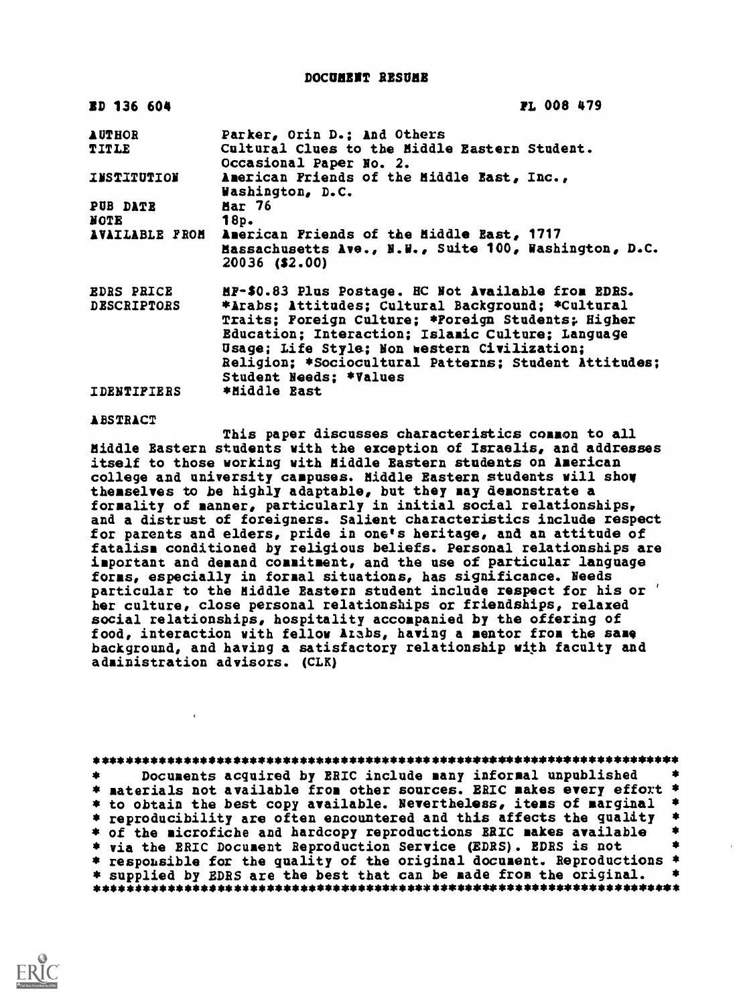DOCUMENT RESUME

| <b>ED 136 604</b>  | <b>PL 008 479</b>                                                                                                                                                                                                                                                                               |
|--------------------|-------------------------------------------------------------------------------------------------------------------------------------------------------------------------------------------------------------------------------------------------------------------------------------------------|
| <b>AUTHOR</b>      | Parker, Orin D.; And Others                                                                                                                                                                                                                                                                     |
| TITLE              | Cultural Clues to the Middle Eastern Student.<br>Occasional Paper No. 2.                                                                                                                                                                                                                        |
| INSTITUTION        | American Friends of the Middle East, Inc.,<br>Washington, D.C.                                                                                                                                                                                                                                  |
| <b>PUB DATE</b>    | <b>Mar 76</b>                                                                                                                                                                                                                                                                                   |
| <b>NOTE</b>        | 18p.                                                                                                                                                                                                                                                                                            |
|                    | AVAILABLE FROM American Friends of the Middle East, 1717<br>Massachusetts Ave., N.W., Suite 100, Washington, D.C.<br>20036 (\$2.00)                                                                                                                                                             |
| <b>EDRS PRICE</b>  | HF-\$0.83 Plus Postage. HC Not Available from EDRS.                                                                                                                                                                                                                                             |
| <b>DESCRIPTORS</b> | *Arabs; Attitudes; Cultural Background; *Cultural<br>Traits; Foreign Culture; *Poreign Students; Higher<br>Education; Interaction; Islamic Culture; Language<br>Usage; Life Style; Non western Civilization;<br>Religion; *Sociocultural Patterns; Student Attitudes;<br>Student Needs: *Values |
| <b>IDENTIFIERS</b> | *Middle East                                                                                                                                                                                                                                                                                    |

## **ABSTRACT**

This paper discusses characteristics comaon to all Middle Eastern students with the exception of Israelis, and addresses itself to those working with Middle Eastern students on American college and university campuses. Middle Eastern students will show themselves to be highly adaptable, but they may deaonstrate a formality of manner, particularly in initial social relationships, and a distrust of foreigners. Salient characteristics include respect for parents and elders, pride in one's heritage, and an attitude of fatalism conditioned by religious beliefs. Personal relationships are important and demand commitment, and the use of particular language forms, especially in formal situations, has significance. Needs particular to the Middle Eastern student include respect for his or ' her culture, close personal relationships or friendships, relaxed social relationships, hospitality accoapanied by the offering of food, interaction with fellow Arabs, having a mentor from the same background, and having a satisfactory relationship with faculty and administration advisors. (CLK)

| 寒 | Documents acquired by ERIC include many informal unpublished            |  |
|---|-------------------------------------------------------------------------|--|
|   | * materials not available from other sources. ERIC makes every effort * |  |
|   | * to obtain the best copy available. Nevertheless, items of marginal *  |  |
|   | * reproducibility are often encountered and this affects the quality *  |  |
|   | * of the microfiche and hardcopy reproductions RRIC makes available     |  |
|   | * via the ERIC Document Reproduction Service (EDRS). EDRS is not        |  |
|   | * responsible for the quality of the original document. Reproductions * |  |
|   | * supplied by EDRS are the best that can be made from the original.     |  |
|   |                                                                         |  |

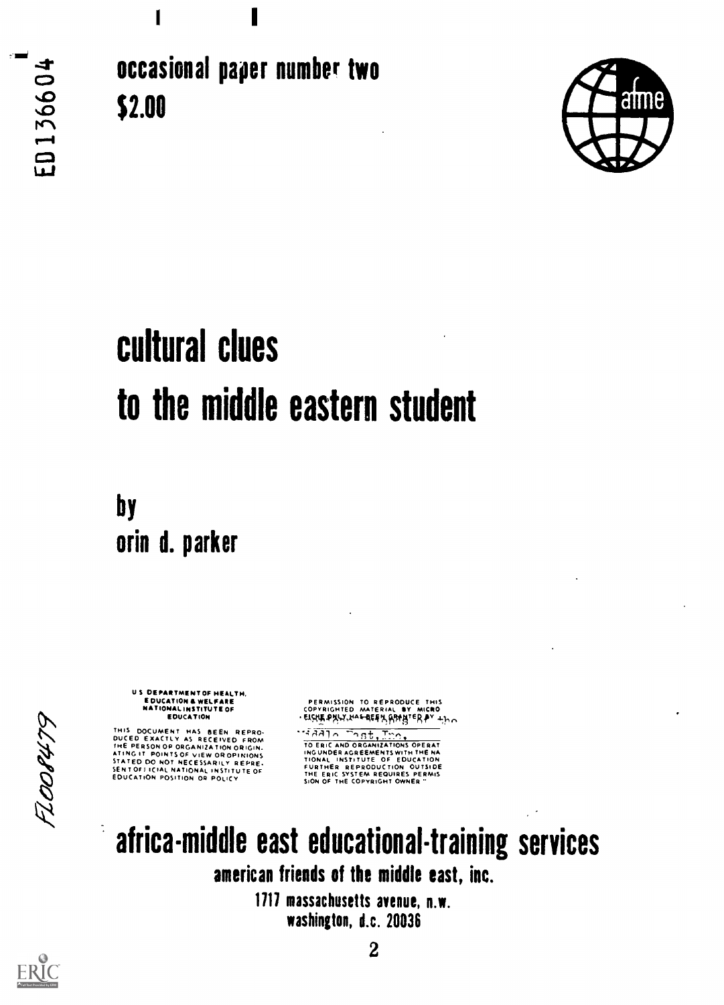occasional paper number two \$2.00



## cultural clues to the middle eastern student

by orin d. parker

> US DEPARTMENT OF HEALTH. E DUCATION & WELFARE<br>NATIONAL INSTITUTE OF EDUCATION

THIS DOCUMENT HAS BEEN REPRONANT HAS BEEN REPRONANT AS RECEIVED FROM THE PERSON OF ORIGINAL THE PERSON OF THE THE THAT THE SERVICE ON NOT MESSARILY REPRETTION ON THE SERVICE OF THE SERVICE OF THE SERVICE OF THE ENDING AND

PERMISSION TO REPRODUCE THIS COPYRIGHTED MATERIAL SY MICRO 'EISHE PALY HAFRER ARABIER PY +ho

 $\frac{4.7 \times 10^{-1} \text{ s}}{10 \text{ ER} \cdot \text{C} \cdot \text{AD} \cdot \text{ORGAN} \cdot \text{C} \cdot \text{AD}}$ INGUNDER AGREEMENTS WITH THE NA<br>TIONAL INSTITUTE OF EDUCATION<br>FURTHER REPRODUCTION OUTSIDE<br>THE ERIC SYSTEM REQUIRES PERMIS<br>SION OF THE COPYRIGHT OWNER "



1111 massachusetts avenue, n.w. washington, d.c. 20036



 $\ddot{\phantom{0}}$ 

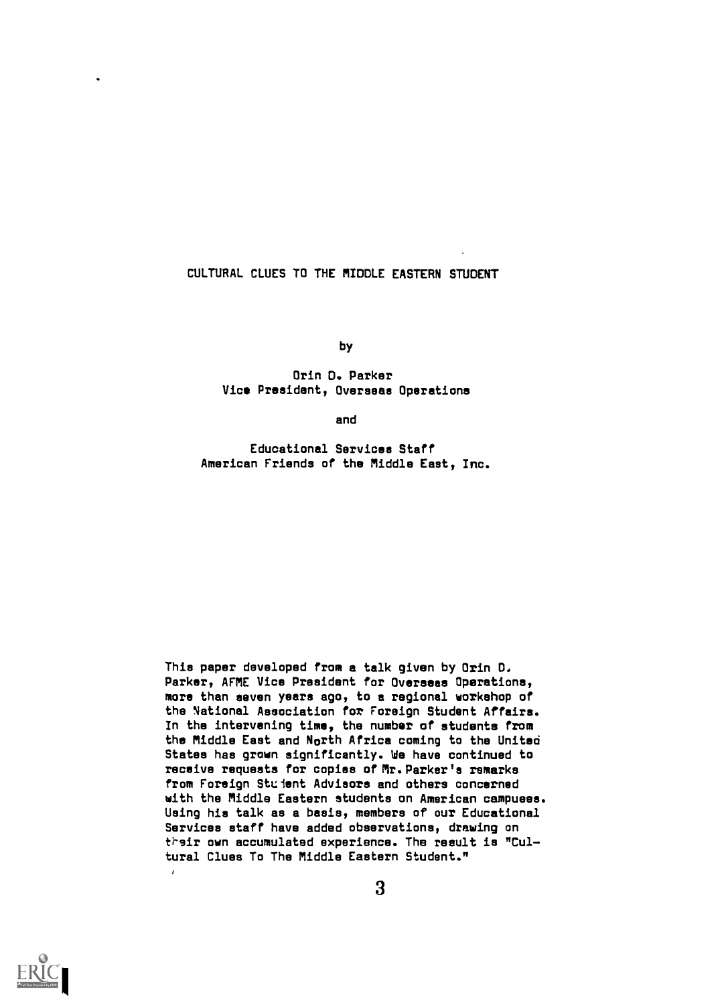## CULTURAL CLUES TO THE MIDDLE EASTERN STUDENT

by

Orin D. Parker Vice President, Overseas Operations

and

Educational Services Staff American Friends of the Middle East, Inc.

This paper developed from a talk given by Orin D. Parker, AFME Vice President for Overseas Operations, more than seven years ago, to a regional workshop of the National Association for Foreign Student Affairs. In the intervening time, the number of students from the Middle East and North Africa coming to the United States has grown significantly. We have continued to receive requests for copies of Mr.Parker's remarks from Foreign Student Advisors and others concerned with the Middle Eastern students on American campuses. Using his talk as a basis, members of our Educational Services staff have added observations, drawing on their own accumulated experience. The result is "Cultural Clues To The Middle Eastern Student."

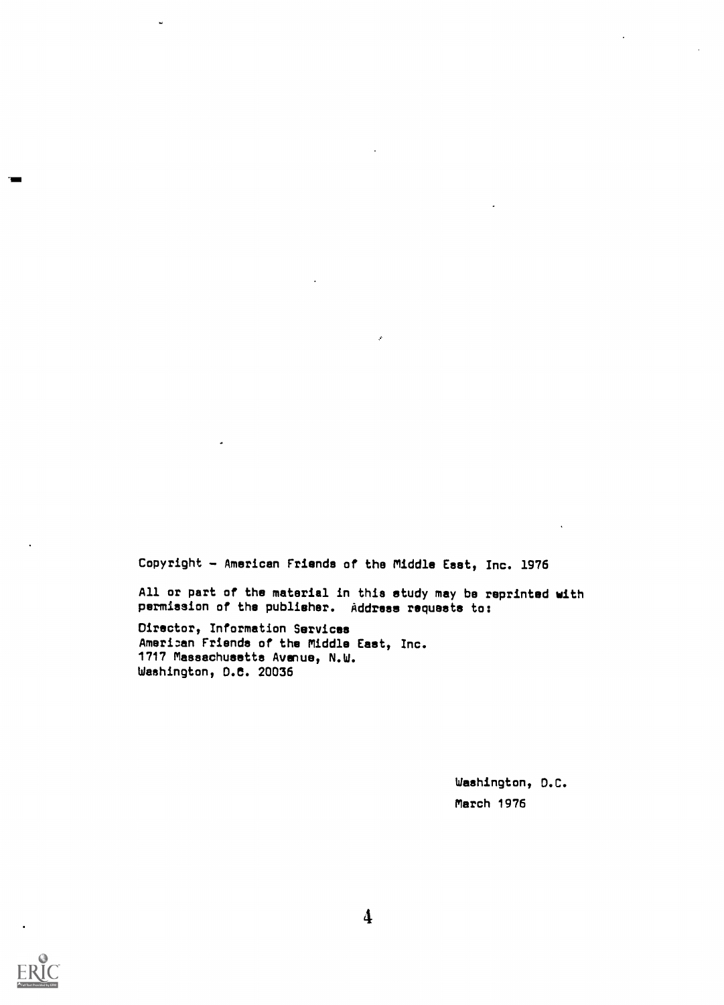Copyright - American Friends of the Middle East, Inc. 1976

All or part of the material in this study may be reprinted with permission of the publisher. Address requests to:

Director, Information Services Ameri:an Friends of the Middle East, Inc. 1717 Massachusetts Avenue, N.W. Washington, D.C. 20036

> Washington, D.C. March 1976

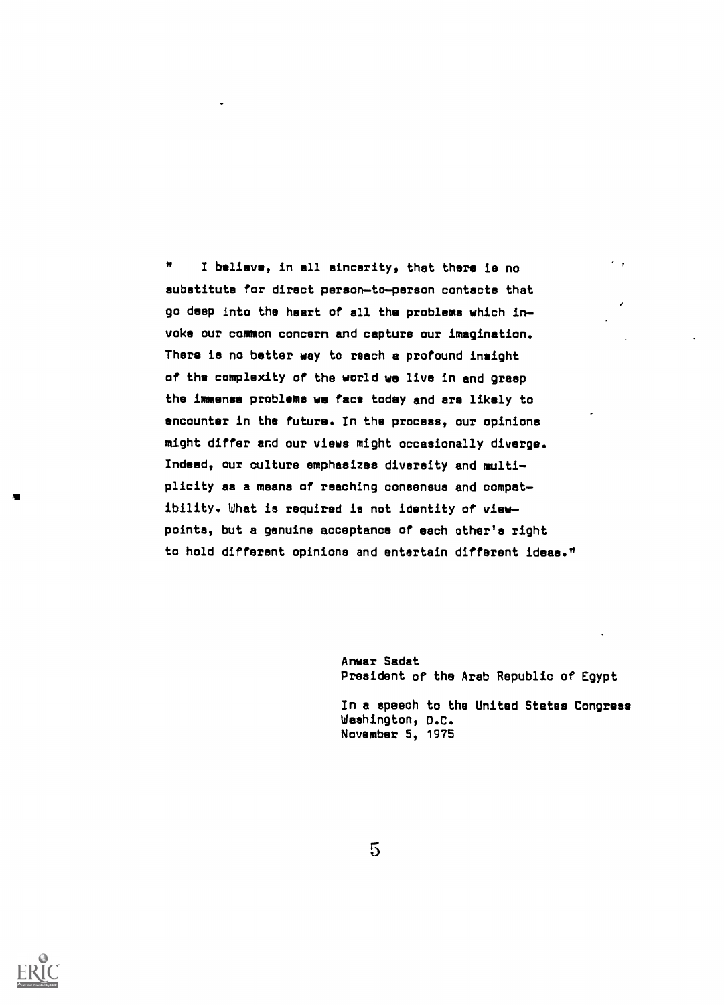I believe, in all sincerity, that there is no  $\mathbf{H}$ substitute for direct person-to-person contacts that go deep into the heart of all the problems which in voke our common concern and capture our imagination. There is no better way to reach a profound insight of the complexity of the world we live in and grasp the immense problems we face today and are likely to encounter in the future. In the process, our opinions might differ and our views might occasionally diverge. Indeed, our culture emphasizes diversity and multi plicity as a means of reaching consensus and compat ibility. What is required is not identity of view points, but a genuine acceptance of each other's right to hold different opinions and entertain different ideas."

> Anwar Sadat President of the Arab Republic of Egypt

 $\sim$   $_{\star}$ 

In a speech to the United States Congress Washington, D.C. November 5, 1975

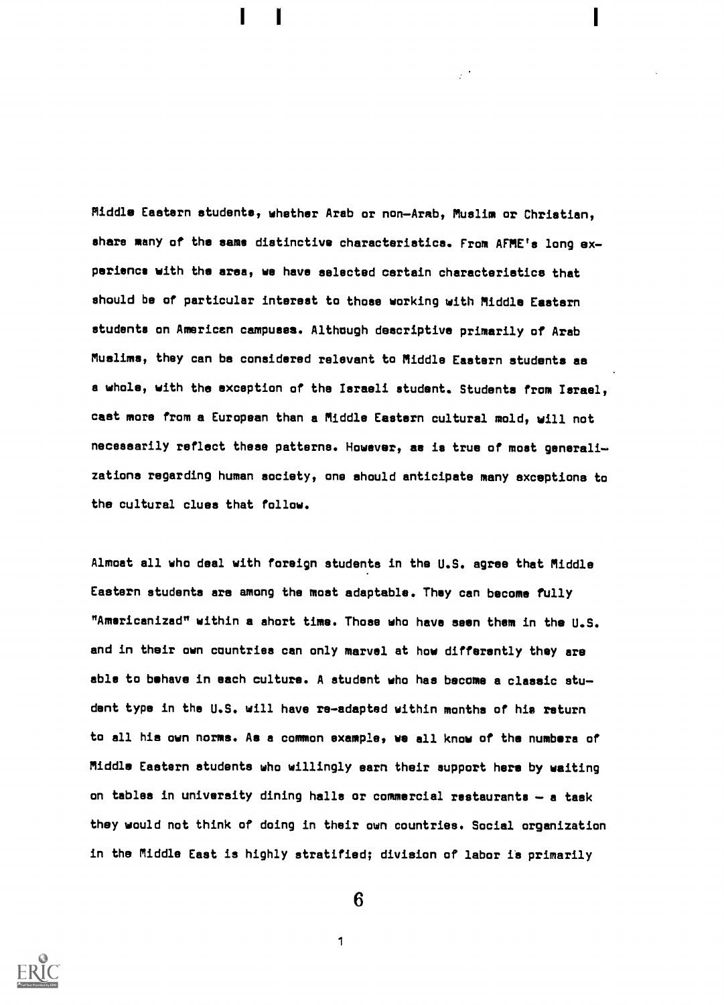Middle Eastern students, whether Arab or non-Arab, Muslim or Christian, share many of the same distinctive characteristics. From AFME's long experience with the area, we have selected certain characteriatics that should be of particular interest to those working with Middle Eaatern students on American campuses. Although deacriptive primarily of Arab Muslims, they can be considered relevant to Middle Eastern students as a whole, with the exception of the Israeli student. Students from Israel. cast more from a European than a Middle Eastern cultural mold, will not necessarily reflect these patterns. However, as is true of most generali zations regarding human society, one ahould anticipate many exceptions to the cultural clues that follow.

Almost all who deal with foreign students in the U.S. agree that Middle Eastern students ars among the most adaptable. They can become fully "Americanized" within a short time. Those who have seen them in the U.S. and in their own countries can only marvel at how differently they are able to behave in each culture. A student who has become a classic stu dent type in the U.S. will have re-adapted within months of his return to all hia own norms. As a common example, we all know of the numbers of Middle Eastern students who willingly earn their aupport hers by waiting on tables in university dining halls or commercial restaurants  $-$  a task they would not think of doing in their own countries. Social organization in the Middle East is highly stratified; division of labor ia primarily



6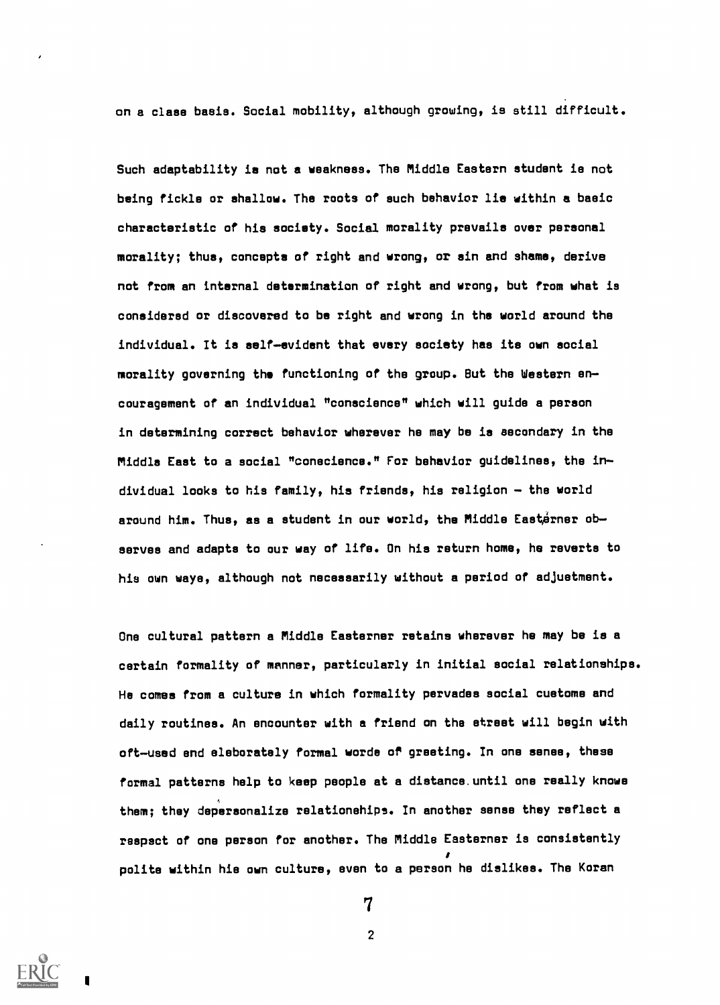on a class basis. Social mobility, although growing, is still difficult.

Such adaptability is not a weakness. The Middle Eastern student is not being fickle or shallow. The roots of such behavior lie within a basic characteristic of his society. Social morality prevails over personal morality; thus, concepts of right and wrong, or sin and shame, derive not from an internal determination of right and wrong, but from what is considered or discovered to be right and wrong in the world around the individual. It is self-evident that every society has its own social morality governing the functioning of the group. But the Western en couragement of an individual "conscience" which will guide a person in determining correct behavior wherever he may be is secondary in the Middle East to a social "conscience." For behavior guidelines, the in dividual looks to his family, his friends, his religion - the world around him. Thus, as a student in our world, the Middle Easterner observes and adapts to our way of life. On his return home, he reverts to his own ways, although not necessarily without a period of adjustment.

Ons cultural pattern a Middle Easterner retains wherever he may be is a certain formality of manner, particularly in initial social relationships. He comes from a culture in which formality pervades social customs and daily routines. An encounter with a friend on the street will begin with oft-used and eleborately formal worde of greeting. In one sense, these formal patterns help to keep people at a distance.until one really knows them; they depersonalize relationehips. In another sense they reflect a respect of one person for another. The Middle Easterner is consistently polite within hie own culture, even to a person he dislikes. The Koran



7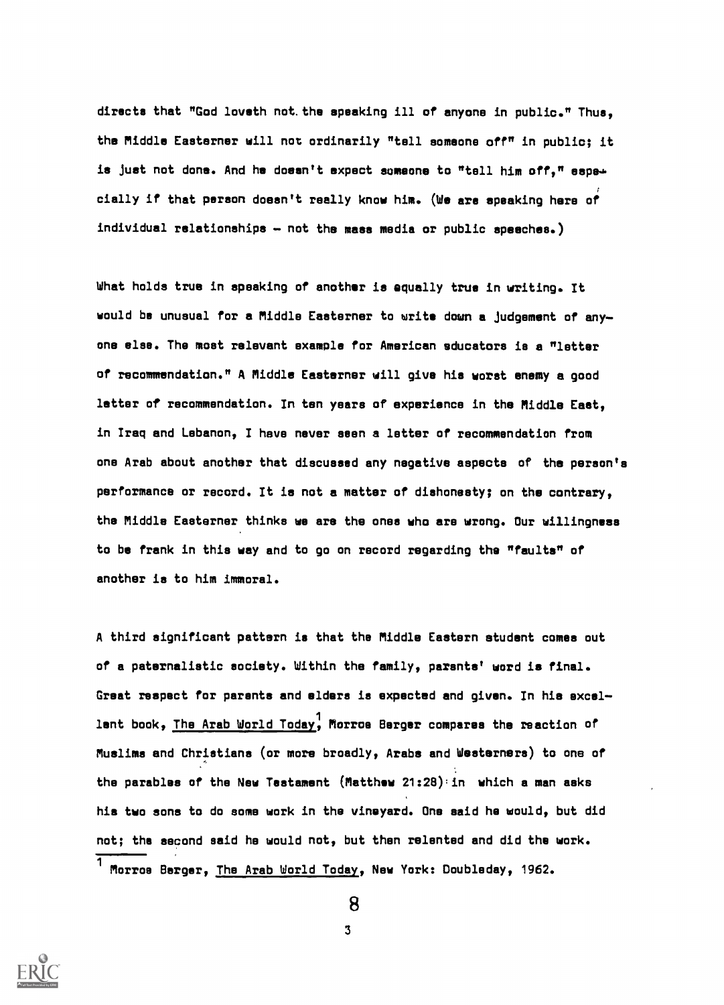directs that "God loveth not.the speaking ill of anyone in public." Thus, the Middle Easterner will not ordinarily "tell someone off" in public; it is just not done. And he doesn't expect someone to "tell him off." sapecially if that person doesn't really know him. (de are speaking here of individual relationships  $-$  not the mass media or public speeches.)

What holds true in speaking of another is equally true in writing. It would be unusual for a Middle Easterner to write down a judgement of anyone else. The most relevant example for American educators le a "letter of recommendation." A Middle Easterner will give his worst enemy a good letter of recommendation. In ten years of experience in the Middle East, in Iraq and Lebanon, I have never seen a letter of recommendation from one Arab about another that discussed any negative aspects of the person's performance or record. It ia not a matter of diahonesty; on the contrary, the Middle Easterner thinks we are the ones who are wrong. Our willingneas to be frank in this way and to go on record regarding the "faults" of another is to him immoral.

A third significant pattern is that the Middle Eastern student comes out of a paternalistic society. Within the family, parants' word is final. Great respect for parents and elders ia expected and given. In hia excel-<sup>1</sup> lent book, The Arab World Today, Morroe Berger compares the reaction of Muslima and Christians (or more broadly, Arabs and Westerners) to one of the parablea of the New Testament (Matthew 21:28):in which a man asks his two sons to do some work in the vineyard. One said he would, but did not; the second said he would not, but then relented and did the work. <sup>1</sup> Morroe Berger, The Arab World Today, New York: Doubleday, 1962.



8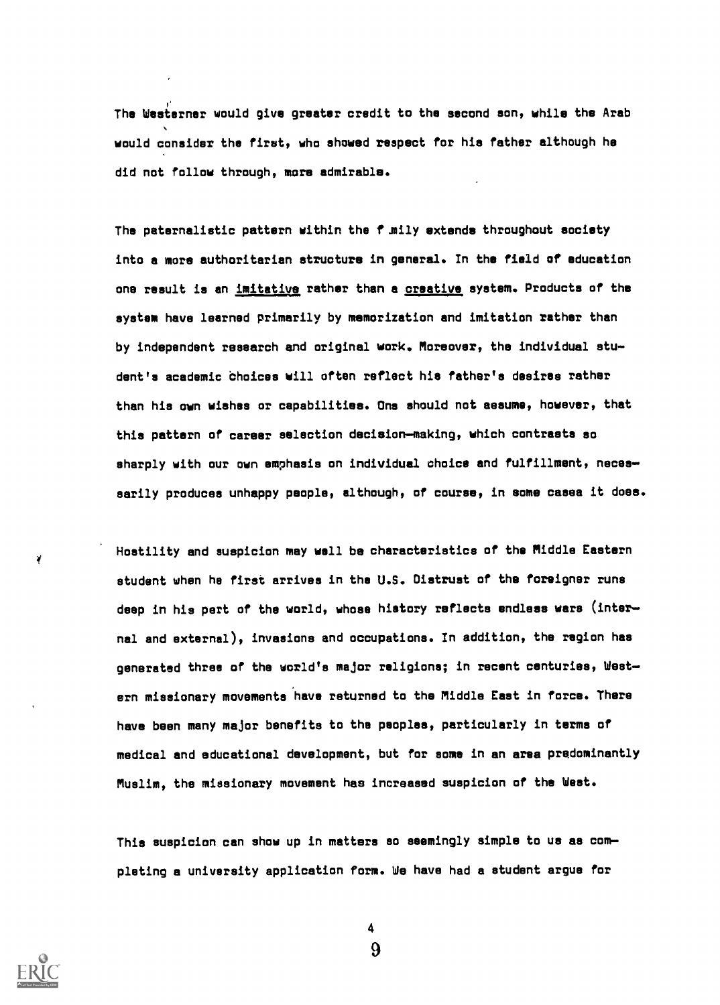The Westerner would give greater credit to the second son, while the Arab would consider the first, who showed respect for his father although he did not follow through, more admirable.

The paternalistic pattern within the funily extends throughout society into a more authoritarian structure in general. In the field of education one result is an imitative rather than a creative system. Products of the system have learned primarily by memorization and imitation rather than by independent research and original work. Moreover, the individual stu dent's academic Choices will often reflect his father's desires rather than his awn wishes or capabilities. One should not assume, however, that this pattern of career selection decision-making, which contrasts so sharply with our own emphasis on individual choice and fulfillment, necessarily produces unhappy people, although, of course, in some cases it does.

Hostility and suspicion may well be characteristics of the Middle Eastern student when he first arrives in the U.S. Distrust of the foreigner runs deep in his part of the world, whose history reflects endless wars (inter nal and external), invasions and occupations. In addition, the region has generated three of the world's major religions; in recent centuries, West ern missionary movements have returned to the Middle East in force. There have been many major benefits to the peoples, particularly in terms of medical and educational development, but for some in an area predominantly Muslim, the missionary movement has increased suspicion of the West.

This suspicion can show up in matters so seemingly simple to us as com plating a university application form. We have had a student argue for

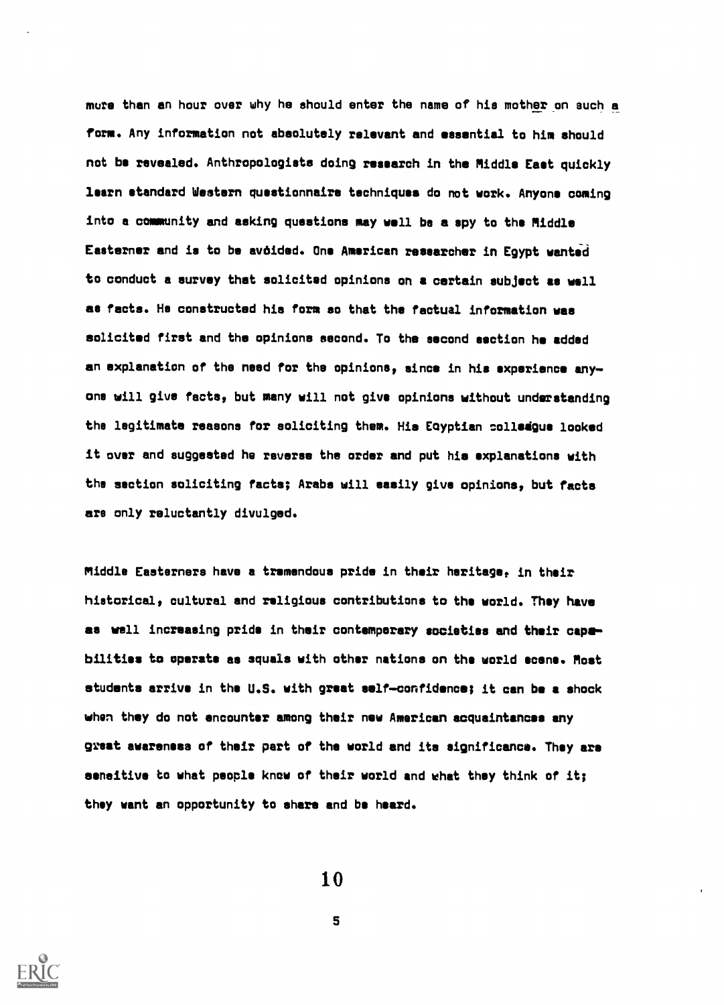mure than an hour over why he should enter the name of his mother on such a form. Any information not absolutely relevant and essential to him should not be revealed. Anthropologists doing research in the Middle East quickly learn standard Western questionnaire techniques do not work. Anyone coming into a community and asking questions may well be a spy to the Middle Easterner and is to be avoided. One American researcher in Egypt wantad to conduct a survey that solicited opinions on a certain subject as well as facts. He constructed hia form so that the factual information was solicited first and the opinions second. To the second section he added an explanation of the need for the opinions, since in his experience any one will give facts, but many will not give opinions without understanding the legitimate reasons for soliciting them. His Eoyptian polledgue looked it over and suggested he reverse the order and put hie explanations with the section soliciting facts; Arabs will easily give opinions, but facts ars only reluctantly divulged.

Middle Easterners have a tremendous pride in their heritage, in their historical, cultural and religious contributions to the world. They have as well increasing pride in their contemporary societies and their capebilities to operate as squals with other nations on the world scene. Most students arrive in the U.S. with great self-confidence; it can be a shock when they do not encounter among their new American acquaintances any great awarenesa of their part of the world and its significance. They are sensitive to what people know of their world and what they think of it; they want an opportunity to share and be heard.

10

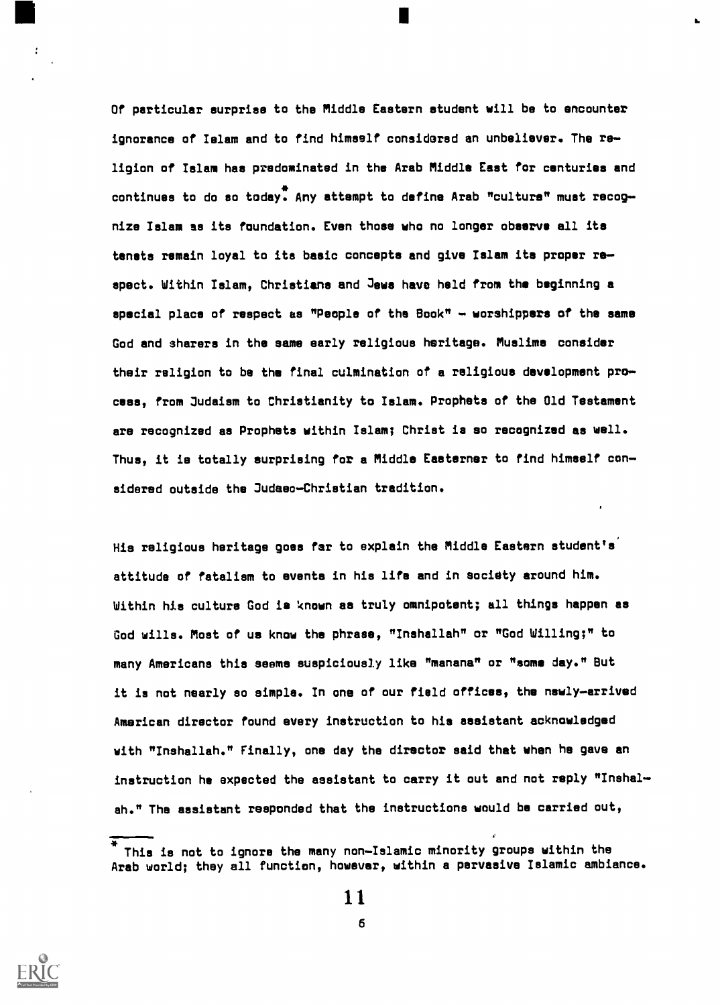Of particular surprise to the Middle Eastern student will be to encounter ignorance of Islam and to find himself considorsd an unbeliever. The re ligion of Islam has predominated in the Arab Middle East for centuries and continues to do so today. Any attempt to define Arab "culture" must recog nize Islam as its foundation. Even those who no longer observe all its tenets remain loyal to its basic concepts and give Islam its proper respect. Within Islam, Christians and Jews have held from the beginning a special place of respect as "People of the Book"  $-$  worshippers of the same God and sharers in the same early religious heritage. Muslims consider their religion to be the final culmination of a religious development pro cess, from Judaism to Christianity to Islam. Prophets of the Old Testament are recognized as Prophets within Islam; Christ is so recognized as well. Thus, it is totally surprising for a Middle Easterner to find himself con sidered outside the Judaeo-Christian tradition.

His religious heritage goes far to explain the Middle Eastern student's' attitude of fatalism to events in his life and in society around him. Within his culture God is known as truly omnipotent; all things happen as God wills. Most of us know the phrase, "Inshallah" or "God Willing;" to many Americans this seems suspiciously like "manana" or "some day." But it is not nearly so simple. In one of our field offices, the newly-arrived American director found every instruction to his assistant acknowledged with "Inshallah." Finally, one day the director said that when he gave an instruction he expected the assistant to carry it out and not reply "Inshal ah." The assistant responded that the instructions would be carried out,



This is not to ignore the many non-Islamic minority groups within the Arab world; they all function, however, within a pervasive Islamic ambiance.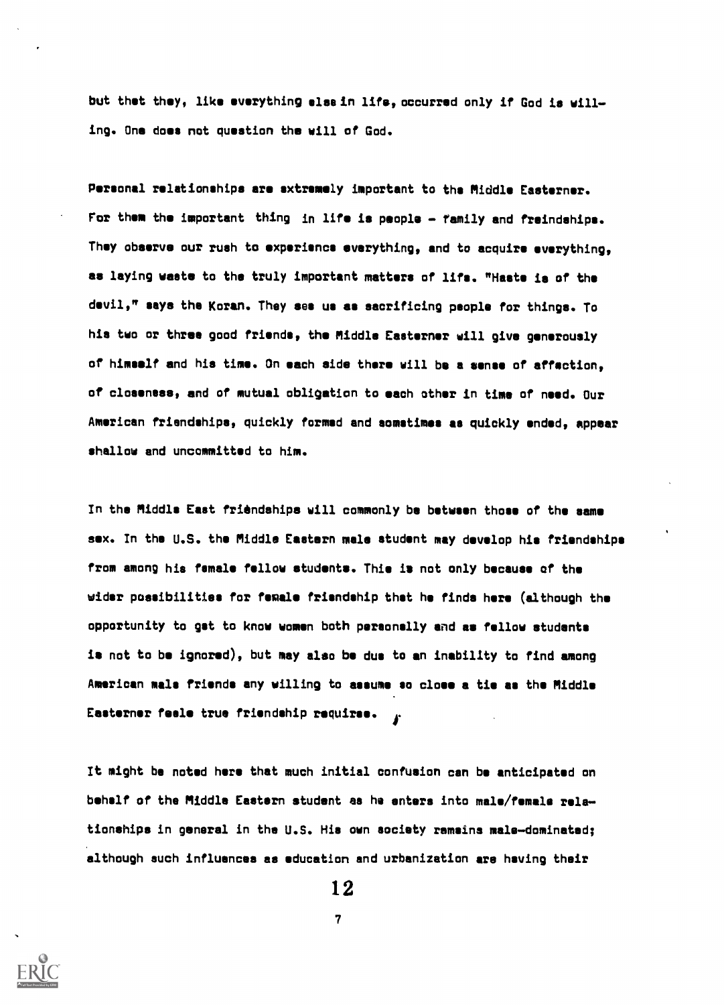but thet they, like everything else in lifs, occurred only if God is willing. One does not question the will of God.

Personal relationships are extremely important to the Middle Easterner. For them the important thing in life is people - family and freindships. They observe our rush to experience everything, and to acquire everything, as laying waste to the truly important matters of life. "Haste is of the devil," says the Koran. They see us as sacrificing people for things. To his two or three good friends, the Middle Easterner will give generously of himself and his time. On each side there will be a sense of affection, of closeness, and of mutual obligation to each other in time of need. Our American friendships, quickly formed and sometimes as quickly ended, appear shallow and uncommitted to him.

In the Middle East friendships will commonly be between those of the same sex. In the U.S. the Middle Eastern male student may develop his friendships from among his female fellow students. This is not only because of the wider possibilities for female friendship that he finds hers (although the opportunity to get to know women both personally and as fellow students is not to be ignored), but may also be due to an inability to find among American male friends any willing to assume so close a tie as the Middle Easterner feele true friendship requires.

/t might be noted hers that much initial confusion can be anticipated on behalf of the Middle Eastern student as he enters into male/female rela tionships in general in the U.S. His own society remains male-dominated; although such influences as education and urbanization are having their

12

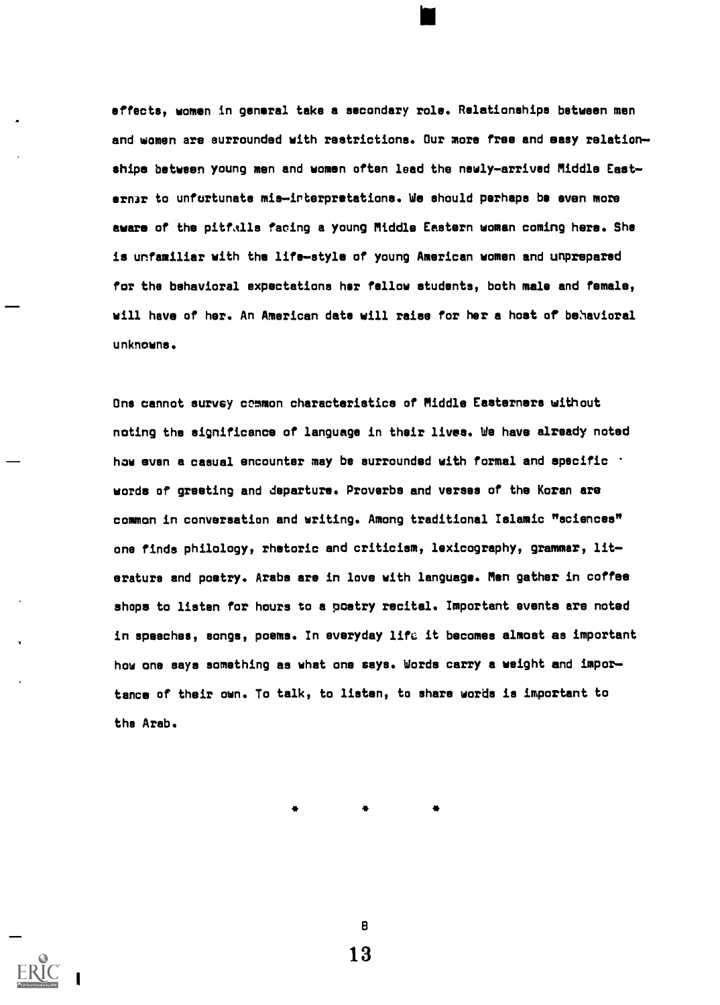e ffects, women in general take a secondary role. Relationships between men and women are surrounded with restrictions. Our more free and easy relationships between young men and women often lead the newly-arrived Middle Easternar to unfurtunate mis-interpretations. We should perhaps be even more aware of the pitfalls facing a young Middle Eastern woman coming here. She is unfamiliar with the life-style of young American women and unprepared for the behavioral expectations her fellow students, both male and female, will have of her. An American date will raise for her a host of behavioral unknowns.

One cannot survey common characteristics of Middle Easterners without noting the significance of language in their lives. We have already noted how even a casual encounter may be surrounded with formal and specific  $\cdot$ words of greeting and departure. Proverbs and verses of the Koran are common in conversation and writing. Among traditional Islamic "sciences" one finds philology, rhetoric and criticism, lexicography, grammar, literature and poetry. Arabs are in love with language. Men gather in coffee shops to listen for hours to a poetry recital. Important events are noted in speeches, songs, poems. In everyday life it becomes almost as important how one says something as what one says. Words carry a weight and importance of their own. To talk, to listen, to share words is important to the Arab.

13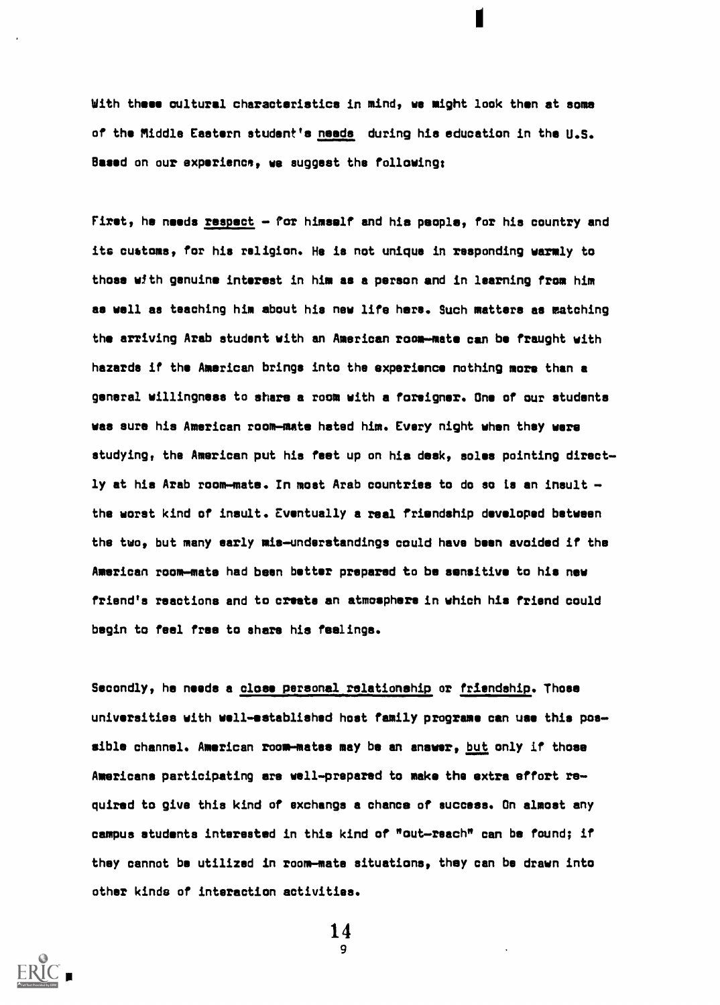With these cultural characteristics in mind, we might look then at soma of the Middle Eastern student's needs during his education in the U.S. Based on our experience, we suggest the following;

First, he needs respect  $-$  for himself and his people, for his country and its customs, for his religion. He ia not unique in responding warmly to those with genuine interest in him as a person and in learning from him as well as teaching him about his new life here. Such matters as matching the arriving Arab student with an American room-mate can be fraught with hazards if the American brings into the experience nothing more than a general willingness to share a room with a foreigner. One of our students was sure his American room-mate hated him. Every night when they were studying, the American put his feet up on his desk, soles pointing directly at his Arab room-mate. In most Arab countries to do so is an insult  $$ the worst kind of insult. Eventually a real friendship developed between the two, but many early mis-understandings could have been avoided if the American room-mats had been better prepared to be sensitive to his new friend's reactions and to create an atmosphere in which his friend could begin to feel free to share his feelings.

Secondly, he needs a close personal relationship or friendship. Those universities with well-established host family programs can use this possible channel. American room-mates may be an answer, but only if those Americans participating are well-prepared to make the extra effort required to give this kind of exchange a chance of success. On almost any campus students interested in this kind of "out-reach" can be found; if they cannot be utilized in room-mate situations, they can be drawn into other kinds of interaction activities.

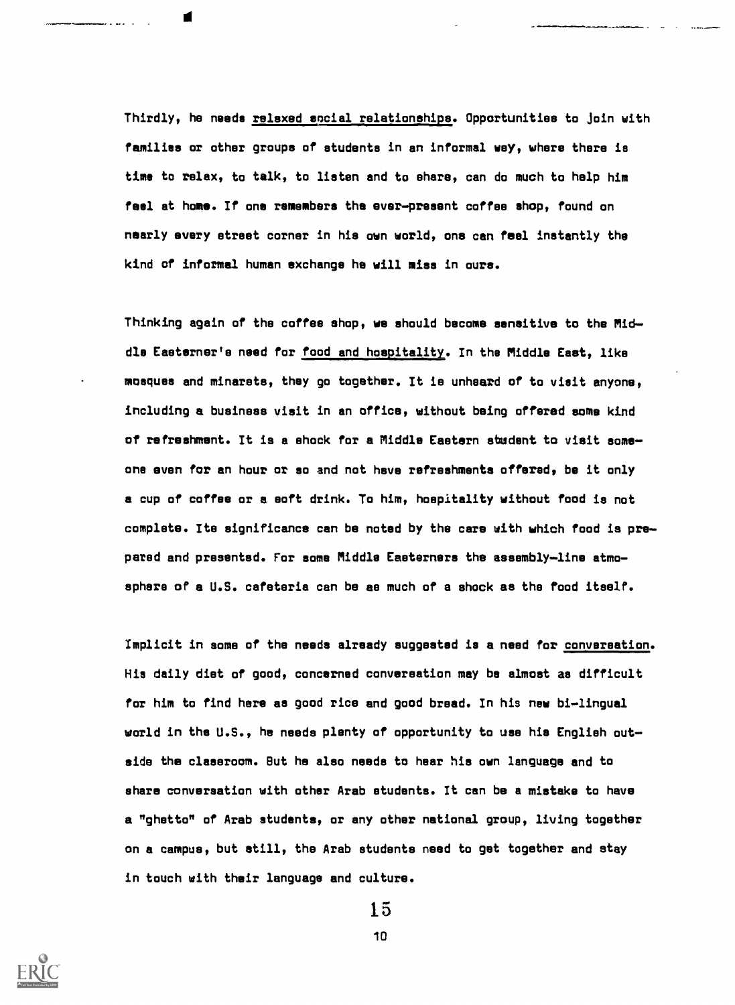Thirdly, he needs relaxed social relationships. Opportunities to join with families or other groups of students in an informal way, where there is time to relax, to talk, to listen and to share, can do much to help him feel at home. If one remembers the ever-present coffee shop, found on nearly every street corner in his own world, one can feel instantly the kind of informal human exchange he will miss in ours.

Thinking again of the coffee shop, we should become sensitive to the Middle Easterner's need for food and hospitality. In the Middle East, like mosques and minarets, they go together. It is unheard of to visit anyone, including a business visit in an office, without being offered some kind of refreshment. It is a shock for a Middle Eastern student to visit someone even for an hour or so and not have refreshments offered, be it only a cup of coffee or a soft drink. To him, hospitality without food is not complete. Its significance can be noted by the care with which food is prepared and presentsd. For some Middle Easterners the assembly-line atmosphere of a U.S. cafeteria can be as much of a shock as the food itself.

Implicit in some of the needs already suggested is a need for conversation. His daily diet of good, concerned conversation may be almost as difficult for him to find here as good rice and good bread. In his new bi-lingual world in the U.S., he needs plenty of opportunity to use his English outside the classroom. But he also needs to hear his own language and to share conversation with other Arab students. It can be a mistake to have a "ghetto" of Arab students, or any other national group, living together on a campus, but still, the Arab students need to get together and stay in touch with their language and culture.



15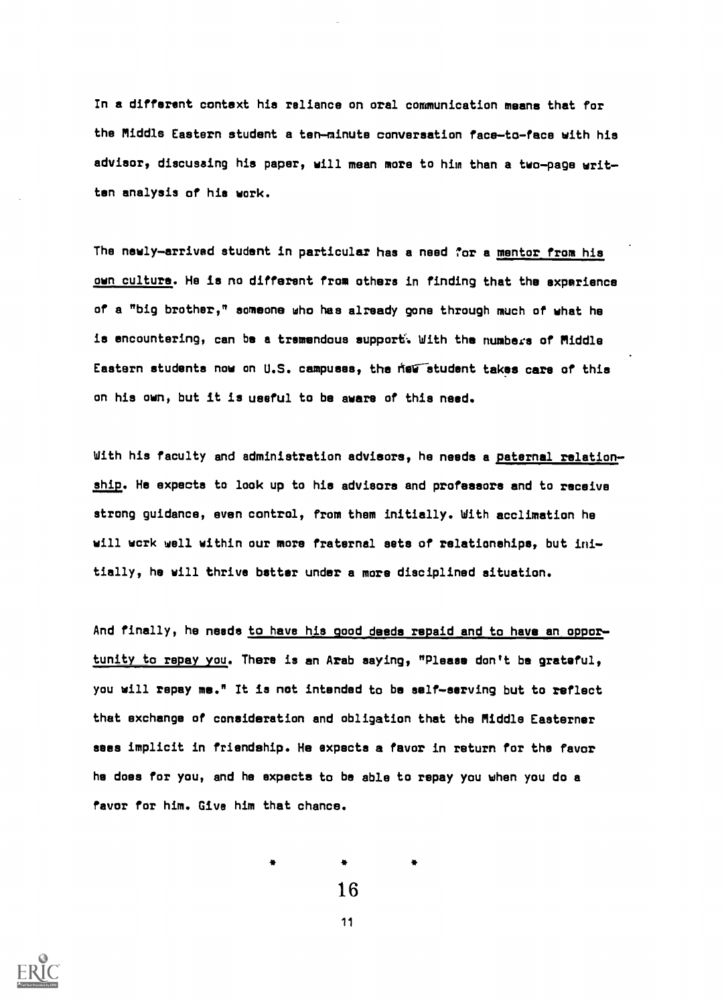In a different context his reliance on oral communication means that for the Middle Eastern student a ten-minute conversation face-to-face with his advisor, discusaing his paper, will mean more to him than a two-page written analysis of hie work.

The newly-arrived student in particular has a need for a mentor from his own culture. He is no different from others in finding that the experience of a "big brother," someone who has already gone through much of what he is encountering, can be a tremendous support. With the numbers of Middle Eastern students now on U.S. campuses, the field student takes care of this on his own, but it is useful to be aware of this need.

With his faculty and administration advisors, he needs a paternal relationship. He expects to look up to his advisors and professors and to receive strong guidance, even control, from them initially. With acclimation he will work well within our more fraternal sets of relationships, but initially, he will thrive better under a more disciplined situation.

And finally, he needs to have his good deeds repaid and to have an opportunity to repay you. There is an Arab saying, "Please don't be grateful, you will repay me." It ia not intended to be self-serving but to reflect that exchange of consideration and obligation that the Middle Easterner sees implicit in friendship. He expects a favor in return for the favor he does for you, and he expects to be able to repay you when you do a favor for him. Give him that chance.

16



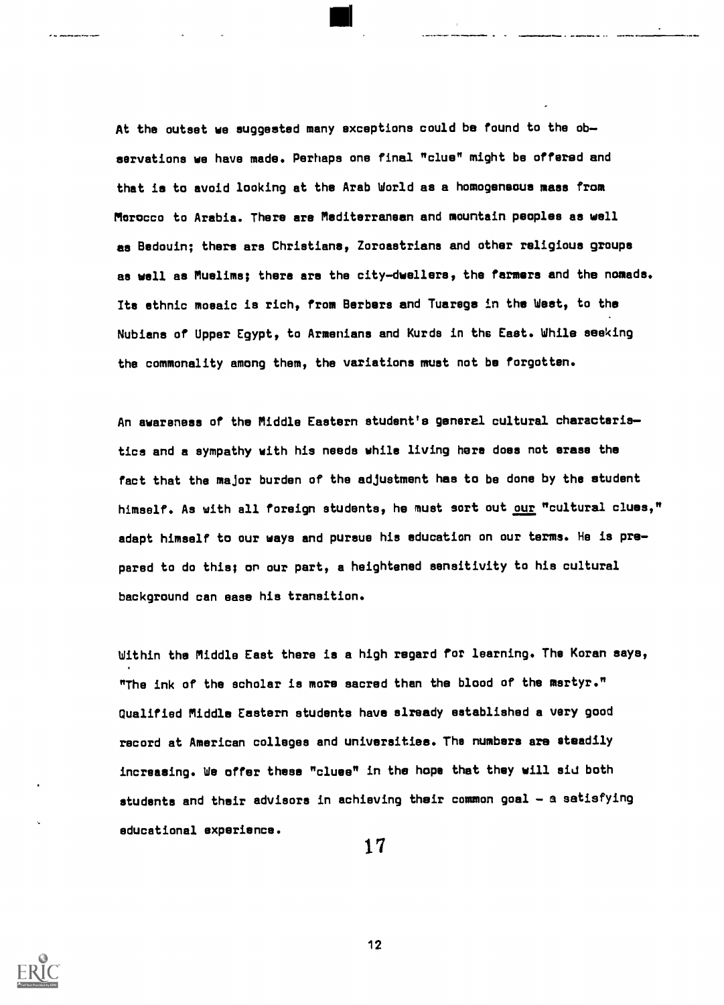At the outset we suggested many exceptions could be found to the observations we have made. Perhaps one final "clue" might be offered and that is to avoid looking at the Arab World as a homogeneous mass from Morocco to Arabia. There are Mediterranean and mountain peoples as well as Bedouin; there are Christians, Zoroastrians and other religious groups as well as Muslims; there ars the city-dwellers, the farmers and the nomads. Its ethnic mosaic is rich, from Berbers and Tuaregs in the West, to the Nubians of Upper Egypt, to Armenians and Kurds in the East. While seeking the commonality among them, the variations must not be forgotten.

An awareness of the Middle Eastern student's general cultural characteristics and a sympathy with his needs while living here does not erase the fact that the major burden of the adjustment has to be done by the student himself. As with all foreign students, he must sort out our "cultural clues," adapt himself to our ways and pursue his education on our terms. He is prepared to do this; on our part, a heightened sensitivity to his cultural background can ease his transition.

Within the Middle East there is a high regard for learning. The Koran says, "The ink of the scholar is more sacred than the blood of the martyr." Qualified Middle Eastern students have already established a very good record at American colleges and universities. The numbers ars steadily increasing. We offer these "clues" in the hope that they will aid both students and their advisors in achieving their common goal - a satisfying educational experience.

1 7